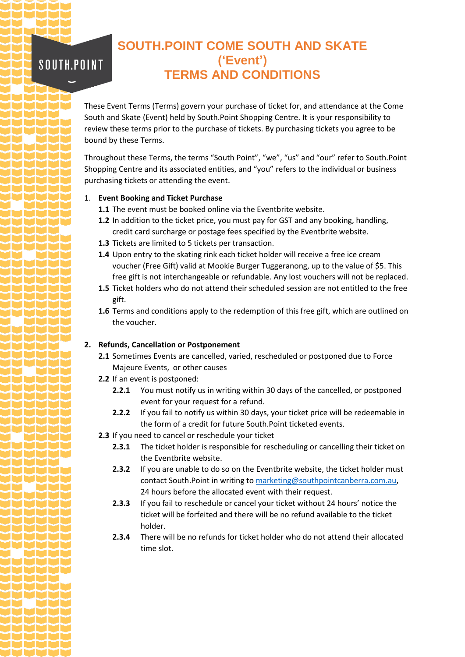# **SOUTH.POINT COME SOUTH AND SKATE ('Event') TERMS AND CONDITIONS**

These Event Terms (Terms) govern your purchase of ticket for, and attendance at the Come South and Skate (Event) held by South.Point Shopping Centre. It is your responsibility to review these terms prior to the purchase of tickets. By purchasing tickets you agree to be bound by these Terms.

Throughout these Terms, the terms "South Point", "we", "us" and "our" refer to South.Point Shopping Centre and its associated entities, and "you" refers to the individual or business purchasing tickets or attending the event.

## 1. **Event Booking and Ticket Purchase**

SOUTH.POINT

- **1.1** The event must be booked online via the Eventbrite website.
- **1.2** In addition to the ticket price, you must pay for GST and any booking, handling, credit card surcharge or postage fees specified by the Eventbrite website.
- **1.3** Tickets are limited to 5 tickets per transaction.
- **1.4** Upon entry to the skating rink each ticket holder will receive a free ice cream voucher (Free Gift) valid at Mookie Burger Tuggeranong, up to the value of \$5. This free gift is not interchangeable or refundable. Any lost vouchers will not be replaced.
- **1.5** Ticket holders who do not attend their scheduled session are not entitled to the free gift.
- **1.6** Terms and conditions apply to the redemption of this free gift, which are outlined on the voucher.

### **2. Refunds, Cancellation or Postponement**

- **2.1** Sometimes Events are cancelled, varied, rescheduled or postponed due to Force Majeure Events, or other causes
- **2.2** If an event is postponed:
	- **2.2.1** You must notify us in writing within 30 days of the cancelled, or postponed event for your request for a refund.
	- **2.2.2** If you fail to notify us within 30 days, your ticket price will be redeemable in the form of a credit for future South.Point ticketed events.
- **2.3** If you need to cancel or reschedule your ticket
	- **2.3.1** The ticket holder is responsible for rescheduling or cancelling their ticket on the Eventbrite website.
	- **2.3.2** If you are unable to do so on the Eventbrite website, the ticket holder must contact South.Point in writing t[o marketing@southpointcanberra.com.au,](mailto:marketing@southpointcanberra.com.au) 24 hours before the allocated event with their request.
	- **2.3.3** If you fail to reschedule or cancel your ticket without 24 hours' notice the ticket will be forfeited and there will be no refund available to the ticket holder.
	- **2.3.4** There will be no refunds for ticket holder who do not attend their allocated time slot.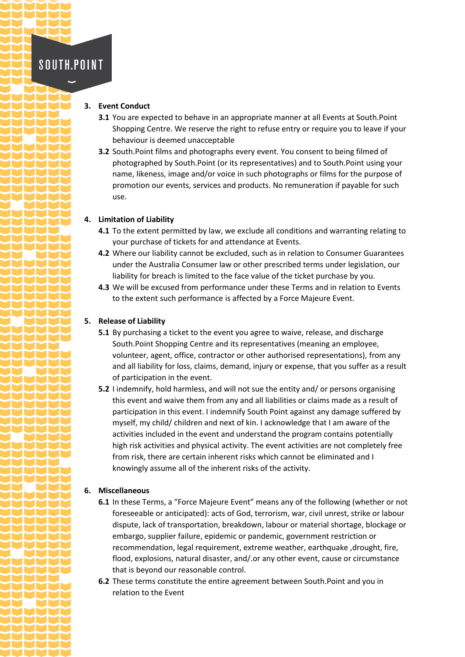# **SOUTH.POINT**

#### **3. Event Conduct**

- **3.1** You are expected to behave in an appropriate manner at all Events at South. Point Shopping Centre. We reserve the right to refuse entry or require you to leave if your behaviour is deemed unacceptable
- **3.2** South.Point films and photographs every event. You consent to being filmed of photographed by South.Point (or its representatives) and to South.Point using your name, likeness, image and/or voice in such photographs or films for the purpose of promotion our events, services and products. No remuneration if payable for such use.

### **4. Limitation of Liability**

- **4.1** To the extent permitted by law, we exclude all conditions and warranting relating to your purchase of tickets for and attendance at Events.
- **4.2** Where our liability cannot be excluded, such as in relation to Consumer Guarantees under the Australia Consumer law or other prescribed terms under legislation, our liability for breach is limited to the face value of the ticket purchase by you.
- **4.3** We will be excused from performance under these Terms and in relation to Events to the extent such performance is affected by a Force Majeure Event.

#### **5. Release of Liability**

- **5.1** By purchasing a ticket to the event you agree to waive, release, and discharge South.Point Shopping Centre and its representatives (meaning an employee, volunteer, agent, office, contractor or other authorised representations), from any and all liability for loss, claims, demand, injury or expense, that you suffer as a result of participation in the event.
- **5.2** I indemnify, hold harmless, and will not sue the entity and/ or persons organising this event and waive them from any and all liabilities or claims made as a result of participation in this event. I indemnify South Point against any damage suffered by myself, my child/ children and next of kin. I acknowledge that I am aware of the activities included in the event and understand the program contains potentially high risk activities and physical activity. The event activities are not completely free from risk, there are certain inherent risks which cannot be eliminated and I knowingly assume all of the inherent risks of the activity.

## **6. Miscellaneous**

- **6.1** In these Terms, a "Force Majeure Event" means any of the following (whether or not foreseeable or anticipated): acts of God, terrorism, war, civil unrest, strike or labour dispute, lack of transportation, breakdown, labour or material shortage, blockage or embargo, supplier failure, epidemic or pandemic, government restriction or recommendation, legal requirement, extreme weather, earthquake ,drought, fire, flood, explosions, natural disaster, and/.or any other event, cause or circumstance that is beyond our reasonable control.
- **6.2** These terms constitute the entire agreement between South.Point and you in relation to the Event